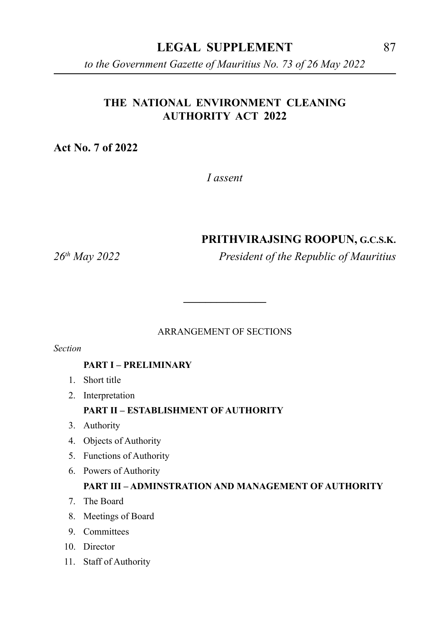#### **LEGAL SUPPLEMENT** 87

*to the Government Gazette of Mauritius No. 73 of 26 May 2022*

## **THE NATIONAL ENVIRONMENT CLEANING AUTHORITY ACT 2022**

**Act No. 7 of 2022**

*I assent*

#### **PRITHVIRAJSING ROOPUN, G.C.S.K.**

*26th May 2022 President of the Republic of Mauritius*

#### ARRANGEMENT OF SECTIONS

**\_\_\_\_\_\_\_\_\_\_\_\_\_\_\_**

*Section*

#### **PART I – PRELIMINARY**

- 1. Short title
- 2. Interpretation

#### **PART II – ESTABLISHMENT OF AUTHORITY**

- 3. Authority
- 4. Objects of Authority
- 5. Functions of Authority
- 6. Powers of Authority

#### **PART III – ADMINSTRATION AND MANAGEMENT OF AUTHORITY**

- 7. The Board
- 8. Meetings of Board
- 9. Committees
- 10. Director
- 11. Staff of Authority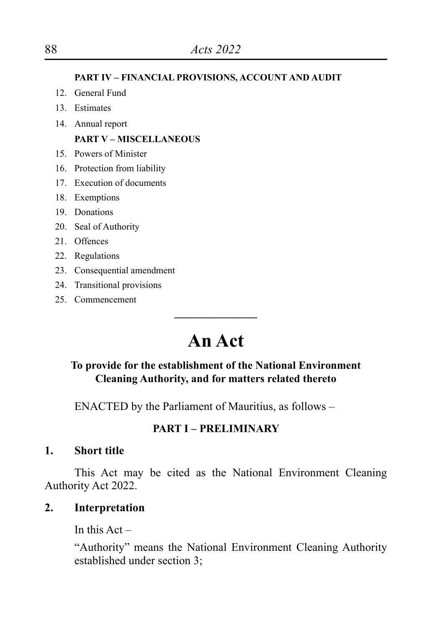**PART IV – FINANCIAL PROVISIONS, ACCOUNT AND AUDIT**

- 12. General Fund
- 13. Estimates
- 14. Annual report

#### **PART V – MISCELLANEOUS**

- 15. Powers of Minister
- 16. Protection from liability
- 17. Execution of documents
- 18. Exemptions
- 19. Donations
- 20. Seal of Authority
- 21. Offences
- 22. Regulations
- 23. Consequential amendment
- 24. Transitional provisions
- 25. Commencement

# **An Act**

**\_\_\_\_\_\_\_\_\_\_\_\_\_\_\_**

#### **To provide for the establishment of the National Environment Cleaning Authority, and for matters related thereto**

ENACTED by the Parliament of Mauritius, as follows –

## **PART I – PRELIMINARY**

## **1. Short title**

This Act may be cited as the National Environment Cleaning Authority Act 2022.

# **2. Interpretation**

In this  $Act -$ 

"Authority" means the National Environment Cleaning Authority established under section 3;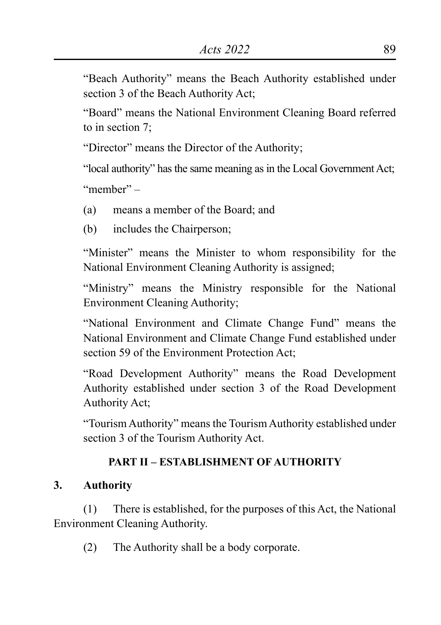"Beach Authority" means the Beach Authority established under section 3 of the Beach Authority Act;

"Board" means the National Environment Cleaning Board referred to in section 7;

"Director" means the Director of the Authority;

"local authority" has the same meaning as in the Local Government Act;

"member" –

- (a) means a member of the Board; and
- (b) includes the Chairperson;

"Minister" means the Minister to whom responsibility for the National Environment Cleaning Authority is assigned;

"Ministry" means the Ministry responsible for the National Environment Cleaning Authority;

"National Environment and Climate Change Fund" means the National Environment and Climate Change Fund established under section 59 of the Environment Protection Act;

"Road Development Authority" means the Road Development Authority established under section 3 of the Road Development Authority Act;

"Tourism Authority" means the Tourism Authority established under section 3 of the Tourism Authority Act.

# **PART II – ESTABLISHMENT OF AUTHORITY**

# **3. Authority**

(1) There is established, for the purposes of this Act, the National Environment Cleaning Authority.

(2) The Authority shall be a body corporate.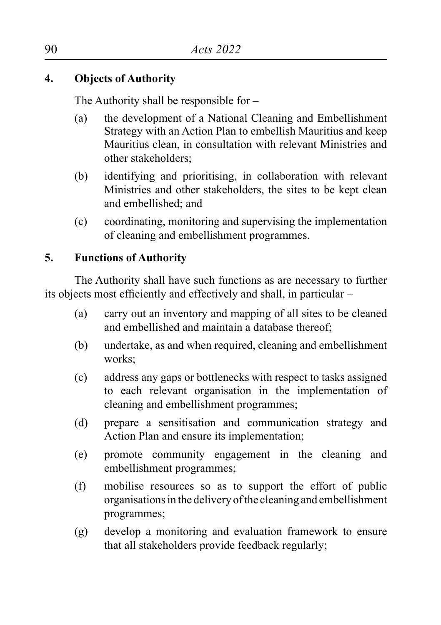# **4. Objects of Authority**

The Authority shall be responsible for –

- (a) the development of a National Cleaning and Embellishment Strategy with an Action Plan to embellish Mauritius and keep Mauritius clean, in consultation with relevant Ministries and other stakeholders;
- (b) identifying and prioritising, in collaboration with relevant Ministries and other stakeholders, the sites to be kept clean and embellished; and
- (c) coordinating, monitoring and supervising the implementation of cleaning and embellishment programmes.

# **5. Functions of Authority**

The Authority shall have such functions as are necessary to further its objects most efficiently and effectively and shall, in particular –

- (a) carry out an inventory and mapping of all sites to be cleaned and embellished and maintain a database thereof;
- (b) undertake, as and when required, cleaning and embellishment works;
- (c) address any gaps or bottlenecks with respect to tasks assigned to each relevant organisation in the implementation of cleaning and embellishment programmes;
- (d) prepare a sensitisation and communication strategy and Action Plan and ensure its implementation;
- (e) promote community engagement in the cleaning and embellishment programmes;
- (f) mobilise resources so as to support the effort of public organisations in the delivery of the cleaning and embellishment programmes;
- (g) develop a monitoring and evaluation framework to ensure that all stakeholders provide feedback regularly;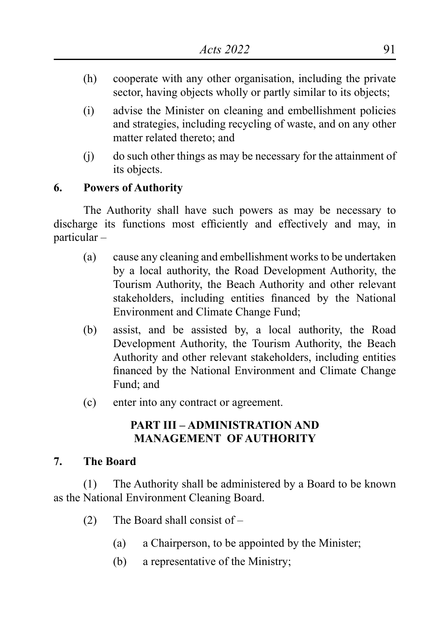- (h) cooperate with any other organisation, including the private sector, having objects wholly or partly similar to its objects;
- (i) advise the Minister on cleaning and embellishment policies and strategies, including recycling of waste, and on any other matter related thereto; and
- (j) do such other things as may be necessary for the attainment of its objects.

#### **6. Powers of Authority**

The Authority shall have such powers as may be necessary to discharge its functions most efficiently and effectively and may, in particular –

- (a) cause any cleaning and embellishment works to be undertaken by a local authority, the Road Development Authority, the Tourism Authority, the Beach Authority and other relevant stakeholders, including entities financed by the National Environment and Climate Change Fund;
- (b) assist, and be assisted by, a local authority, the Road Development Authority, the Tourism Authority, the Beach Authority and other relevant stakeholders, including entities financed by the National Environment and Climate Change Fund; and
- (c) enter into any contract or agreement.

## **PART III – ADMINISTRATION AND MANAGEMENT OF AUTHORITY**

#### **7. The Board**

(1) The Authority shall be administered by a Board to be known as the National Environment Cleaning Board.

- (2) The Board shall consist of
	- (a) a Chairperson, to be appointed by the Minister;
	- (b) a representative of the Ministry;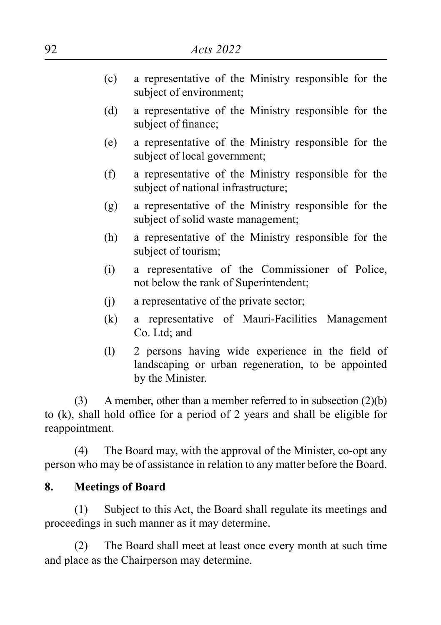- (c) a representative of the Ministry responsible for the subject of environment;
- (d) a representative of the Ministry responsible for the subject of finance;
- (e) a representative of the Ministry responsible for the subject of local government;
- (f) a representative of the Ministry responsible for the subject of national infrastructure;
- (g) a representative of the Ministry responsible for the subject of solid waste management;
- (h) a representative of the Ministry responsible for the subject of tourism;
- (i) a representative of the Commissioner of Police, not below the rank of Superintendent;
- (j) a representative of the private sector;
- (k) a representative of Mauri-Facilities Management Co. Ltd; and
- (l) 2 persons having wide experience in the field of landscaping or urban regeneration, to be appointed by the Minister.

(3) A member, other than a member referred to in subsection (2)(b) to (k), shall hold office for a period of 2 years and shall be eligible for reappointment.

(4) The Board may, with the approval of the Minister, co-opt any person who may be of assistance in relation to any matter before the Board.

## **8. Meetings of Board**

(1) Subject to this Act, the Board shall regulate its meetings and proceedings in such manner as it may determine.

(2) The Board shall meet at least once every month at such time and place as the Chairperson may determine.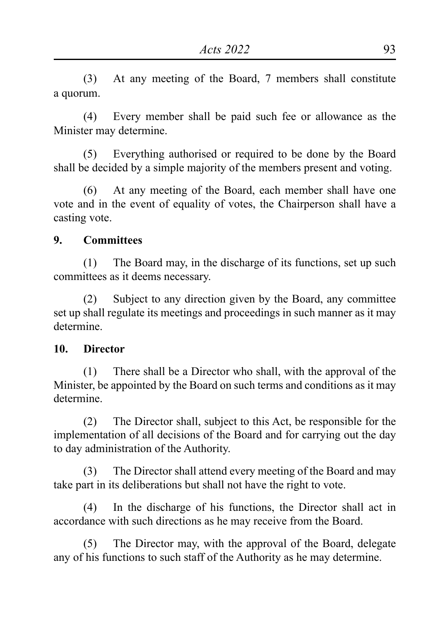(3) At any meeting of the Board, 7 members shall constitute a quorum.

(4) Every member shall be paid such fee or allowance as the Minister may determine.

(5) Everything authorised or required to be done by the Board shall be decided by a simple majority of the members present and voting.

(6) At any meeting of the Board, each member shall have one vote and in the event of equality of votes, the Chairperson shall have a casting vote.

#### **9. Committees**

(1) The Board may, in the discharge of its functions, set up such committees as it deems necessary.

(2) Subject to any direction given by the Board, any committee set up shall regulate its meetings and proceedings in such manner as it may determine.

#### **10. Director**

(1) There shall be a Director who shall, with the approval of the Minister, be appointed by the Board on such terms and conditions as it may determine.

(2) The Director shall, subject to this Act, be responsible for the implementation of all decisions of the Board and for carrying out the day to day administration of the Authority.

(3) The Director shall attend every meeting of the Board and may take part in its deliberations but shall not have the right to vote.

(4) In the discharge of his functions, the Director shall act in accordance with such directions as he may receive from the Board.

(5) The Director may, with the approval of the Board, delegate any of his functions to such staff of the Authority as he may determine.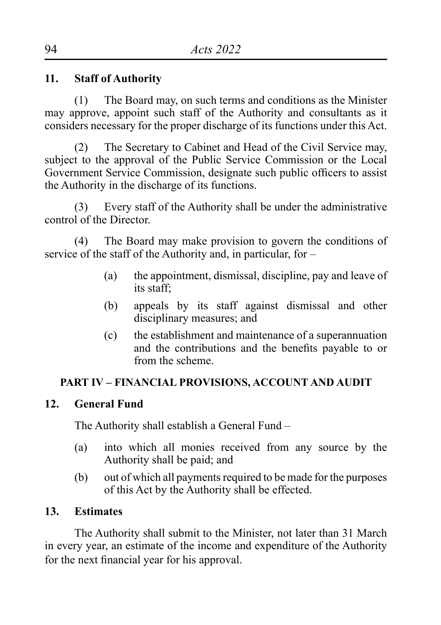## **11. Staff of Authority**

(1) The Board may, on such terms and conditions as the Minister may approve, appoint such staff of the Authority and consultants as it considers necessary for the proper discharge of its functions under this Act.

(2) The Secretary to Cabinet and Head of the Civil Service may, subject to the approval of the Public Service Commission or the Local Government Service Commission, designate such public officers to assist the Authority in the discharge of its functions.

(3) Every staff of the Authority shall be under the administrative control of the Director.

(4) The Board may make provision to govern the conditions of service of the staff of the Authority and, in particular, for –

- (a) the appointment, dismissal, discipline, pay and leave of its staff;
- (b) appeals by its staff against dismissal and other disciplinary measures; and
- (c) the establishment and maintenance of a superannuation and the contributions and the benefits payable to or from the scheme.

## **PART IV – FINANCIAL PROVISIONS, ACCOUNT AND AUDIT**

#### **12. General Fund**

The Authority shall establish a General Fund –

- (a) into which all monies received from any source by the Authority shall be paid; and
- (b) out of which all payments required to be made for the purposes of this Act by the Authority shall be effected.

#### **13. Estimates**

The Authority shall submit to the Minister, not later than 31 March in every year, an estimate of the income and expenditure of the Authority for the next financial year for his approval.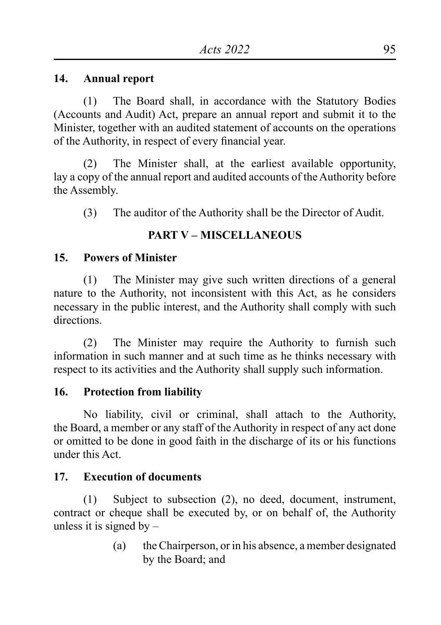#### **14. Annual report**

(1) The Board shall, in accordance with the Statutory Bodies (Accounts and Audit) Act, prepare an annual report and submit it to the Minister, together with an audited statement of accounts on the operations of the Authority, in respect of every financial year.

(2) The Minister shall, at the earliest available opportunity, lay a copy of the annual report and audited accounts of the Authority before the Assembly.

(3) The auditor of the Authority shall be the Director of Audit.

# **PART V – MISCELLANEOUS**

#### **15. Powers of Minister**

(1) The Minister may give such written directions of a general nature to the Authority, not inconsistent with this Act, as he considers necessary in the public interest, and the Authority shall comply with such directions.

(2) The Minister may require the Authority to furnish such information in such manner and at such time as he thinks necessary with respect to its activities and the Authority shall supply such information.

#### **16. Protection from liability**

No liability, civil or criminal, shall attach to the Authority, the Board, a member or any staff of the Authority in respect of any act done or omitted to be done in good faith in the discharge of its or his functions under this Act.

## **17. Execution of documents**

(1) Subject to subsection (2), no deed, document, instrument, contract or cheque shall be executed by, or on behalf of, the Authority unless it is signed by  $-$ 

> (a) the Chairperson, or in his absence, a member designated by the Board; and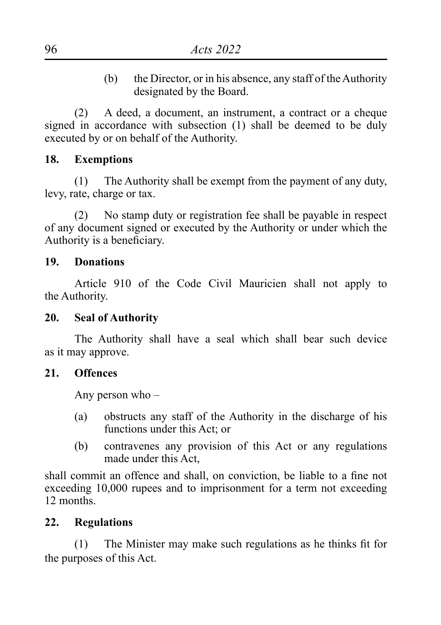(b) the Director, or in his absence, any staff of the Authority designated by the Board.

(2) A deed, a document, an instrument, a contract or a cheque signed in accordance with subsection (1) shall be deemed to be duly executed by or on behalf of the Authority.

#### **18. Exemptions**

(1) The Authority shall be exempt from the payment of any duty, levy, rate, charge or tax.

(2) No stamp duty or registration fee shall be payable in respect of any document signed or executed by the Authority or under which the Authority is a beneficiary.

#### **19. Donations**

Article 910 of the Code Civil Mauricien shall not apply to the Authority.

#### **20. Seal of Authority**

The Authority shall have a seal which shall bear such device as it may approve.

#### **21. Offences**

Any person who –

- (a) obstructs any staff of the Authority in the discharge of his functions under this Act; or
- (b) contravenes any provision of this Act or any regulations made under this Act

shall commit an offence and shall, on conviction, be liable to a fine not exceeding 10,000 rupees and to imprisonment for a term not exceeding 12 months.

#### **22. Regulations**

(1) The Minister may make such regulations as he thinks fit for the purposes of this Act.